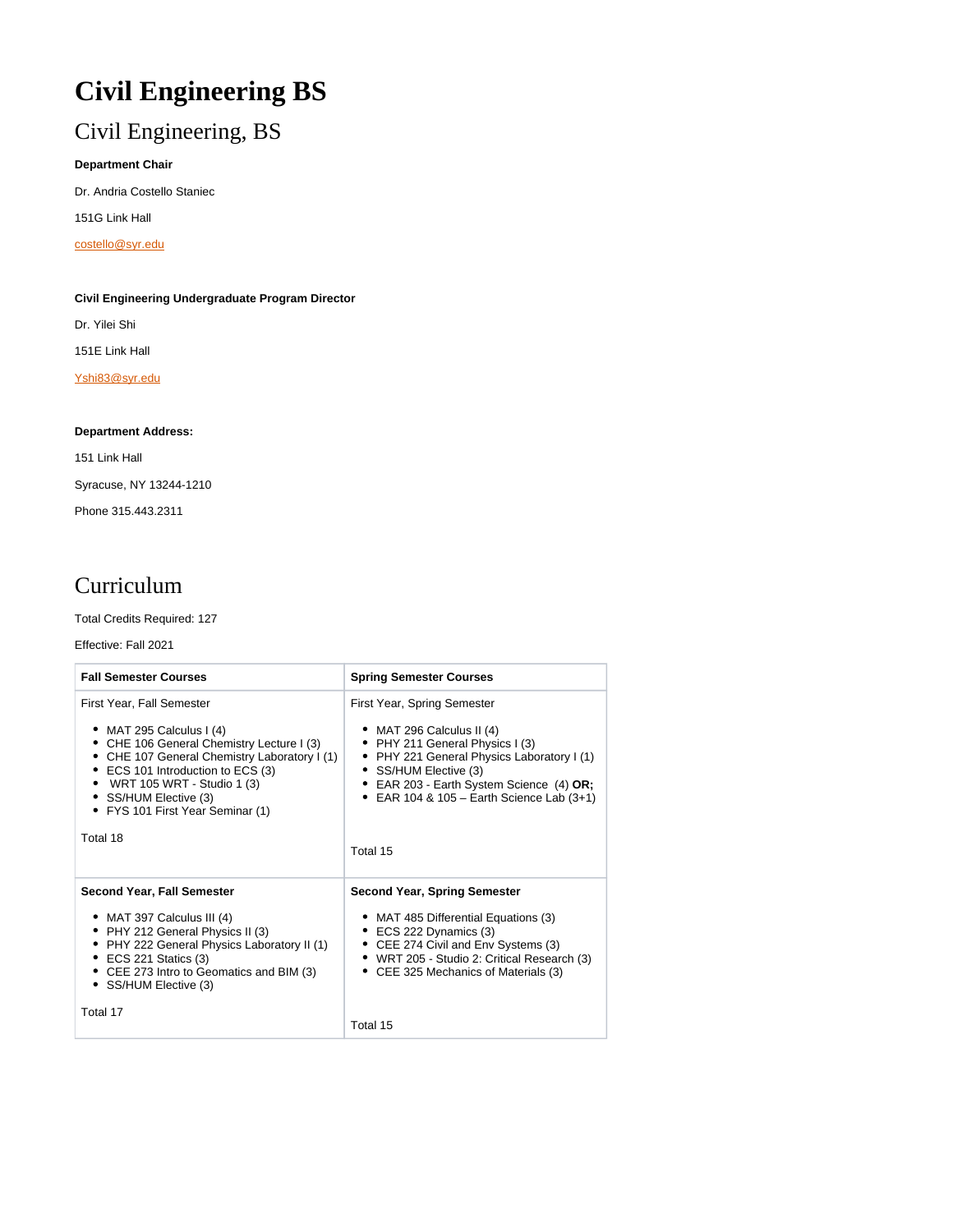# **Civil Engineering BS**

# Civil Engineering, BS

### **Department Chair**

Dr. Andria Costello Staniec

151G Link Hall

[costello@syr.edu](mailto:costello@syr.edu)

### **Civil Engineering Undergraduate Program Director**

Dr. Yilei Shi

151E Link Hall

[Yshi83@syr.edu](mailto:Yshi83@syr.edu)

### **Department Address:**

151 Link Hall Syracuse, NY 13244-1210 Phone 315.443.2311

# Curriculum

Total Credits Required: 127

### Effective: Fall 2021

| <b>Fall Semester Courses</b>                                                                                                                                                                                                                                                         | <b>Spring Semester Courses</b>                                                                                                                                                                                                                                        |
|--------------------------------------------------------------------------------------------------------------------------------------------------------------------------------------------------------------------------------------------------------------------------------------|-----------------------------------------------------------------------------------------------------------------------------------------------------------------------------------------------------------------------------------------------------------------------|
| First Year, Fall Semester<br>• MAT 295 Calculus I $(4)$<br>• CHE 106 General Chemistry Lecture I (3)<br>CHE 107 General Chemistry Laboratory I (1)<br>• ECS 101 Introduction to ECS (3)<br>• WRT 105 WRT - Studio 1 (3)<br>• SS/HUM Elective (3)<br>• FYS 101 First Year Seminar (1) | First Year, Spring Semester<br>$\bullet$ MAT 296 Calculus II (4)<br>• PHY 211 General Physics I (3)<br>• PHY 221 General Physics Laboratory I (1)<br>• SS/HUM Elective (3)<br>• EAR 203 - Earth System Science (4) OR;<br>• EAR 104 & 105 - Earth Science Lab $(3+1)$ |
| Total 18                                                                                                                                                                                                                                                                             | Total 15                                                                                                                                                                                                                                                              |
| <b>Second Year, Fall Semester</b><br>• MAT 397 Calculus III (4)<br>• PHY 212 General Physics II (3)<br>PHY 222 General Physics Laboratory II (1)<br>$\bullet$ ECS 221 Statics (3)<br>• CEE 273 Intro to Geomatics and BIM (3)<br>• SS/HUM Elective (3)<br>Total 17                   | <b>Second Year, Spring Semester</b><br>• MAT 485 Differential Equations (3)<br>$\bullet$ ECS 222 Dynamics (3)<br>• CEE 274 Civil and Env Systems (3)<br>• WRT 205 - Studio 2: Critical Research (3)<br>• CEE 325 Mechanics of Materials (3)                           |
|                                                                                                                                                                                                                                                                                      | Total 15                                                                                                                                                                                                                                                              |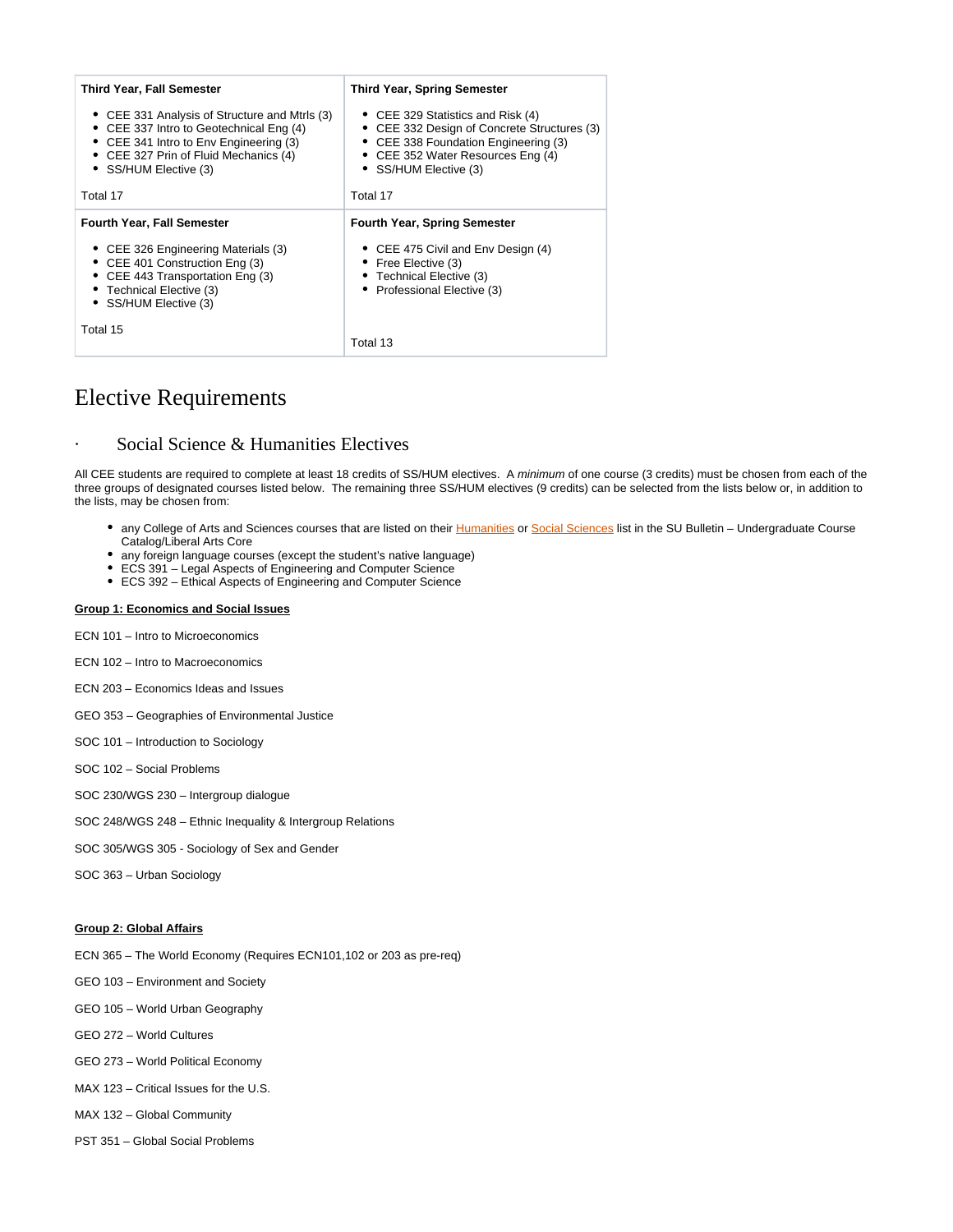| <b>Third Year, Fall Semester</b>                                                                                                                                                                     | <b>Third Year, Spring Semester</b>                                                                                                                                                     |
|------------------------------------------------------------------------------------------------------------------------------------------------------------------------------------------------------|----------------------------------------------------------------------------------------------------------------------------------------------------------------------------------------|
| • CEE 331 Analysis of Structure and Mtrls (3)<br>• CEE 337 Intro to Geotechnical Eng (4)<br>• CEE 341 Intro to Env Engineering (3)<br>• CEE 327 Prin of Fluid Mechanics (4)<br>• SS/HUM Elective (3) | • CEE 329 Statistics and Risk (4)<br>• CEE 332 Design of Concrete Structures (3)<br>• CEE 338 Foundation Engineering (3)<br>• CEE 352 Water Resources Eng (4)<br>• SS/HUM Elective (3) |
| Total 17                                                                                                                                                                                             | Total 17                                                                                                                                                                               |
| <b>Fourth Year, Fall Semester</b>                                                                                                                                                                    | <b>Fourth Year, Spring Semester</b>                                                                                                                                                    |
| • CEE 326 Engineering Materials (3)<br>• CEE 401 Construction Eng (3)<br>• CEE 443 Transportation Eng (3)<br>• Technical Elective (3)<br>• SS/HUM Elective (3)                                       | • CEE 475 Civil and Env Design (4)<br>• Free Elective (3)<br>• Technical Elective (3)<br>• Professional Elective (3)                                                                   |
| Total 15                                                                                                                                                                                             | Total 13                                                                                                                                                                               |

### Elective Requirements

### Social Science & Humanities Electives

All CEE students are required to complete at least 18 credits of SS/HUM electives. A minimum of one course (3 credits) must be chosen from each of the three groups of designated courses listed below. The remaining three SS/HUM electives (9 credits) can be selected from the lists below or, in addition to the lists, may be chosen from:

- any College of Arts and Sciences courses that are listed on their [Humanities](http://coursecatalog.syr.edu/preview_program.php?catoid=30&poid=15616) or [Social Sciences](http://coursecatalog.syr.edu/preview_program.php?catoid=30&poid=15617) list in the SU Bulletin Undergraduate Course Catalog/Liberal Arts Core
- any foreign language courses (except the student's native language)
- ECS 391 Legal Aspects of Engineering and Computer Science
- ECS 392 Ethical Aspects of Engineering and Computer Science

#### **Group 1: Economics and Social Issues**

- ECN 101 Intro to Microeconomics
- ECN 102 Intro to Macroeconomics
- ECN 203 Economics Ideas and Issues
- GEO 353 Geographies of Environmental Justice
- SOC 101 Introduction to Sociology
- SOC 102 Social Problems
- SOC 230/WGS 230 Intergroup dialogue
- SOC 248/WGS 248 Ethnic Inequality & Intergroup Relations
- SOC 305/WGS 305 Sociology of Sex and Gender
- SOC 363 Urban Sociology

#### **Group 2: Global Affairs**

- ECN 365 The World Economy (Requires ECN101,102 or 203 as pre-req)
- GEO 103 Environment and Society
- GEO 105 World Urban Geography
- GEO 272 World Cultures
- GEO 273 World Political Economy
- MAX 123 Critical Issues for the U.S.
- MAX 132 Global Community
- PST 351 Global Social Problems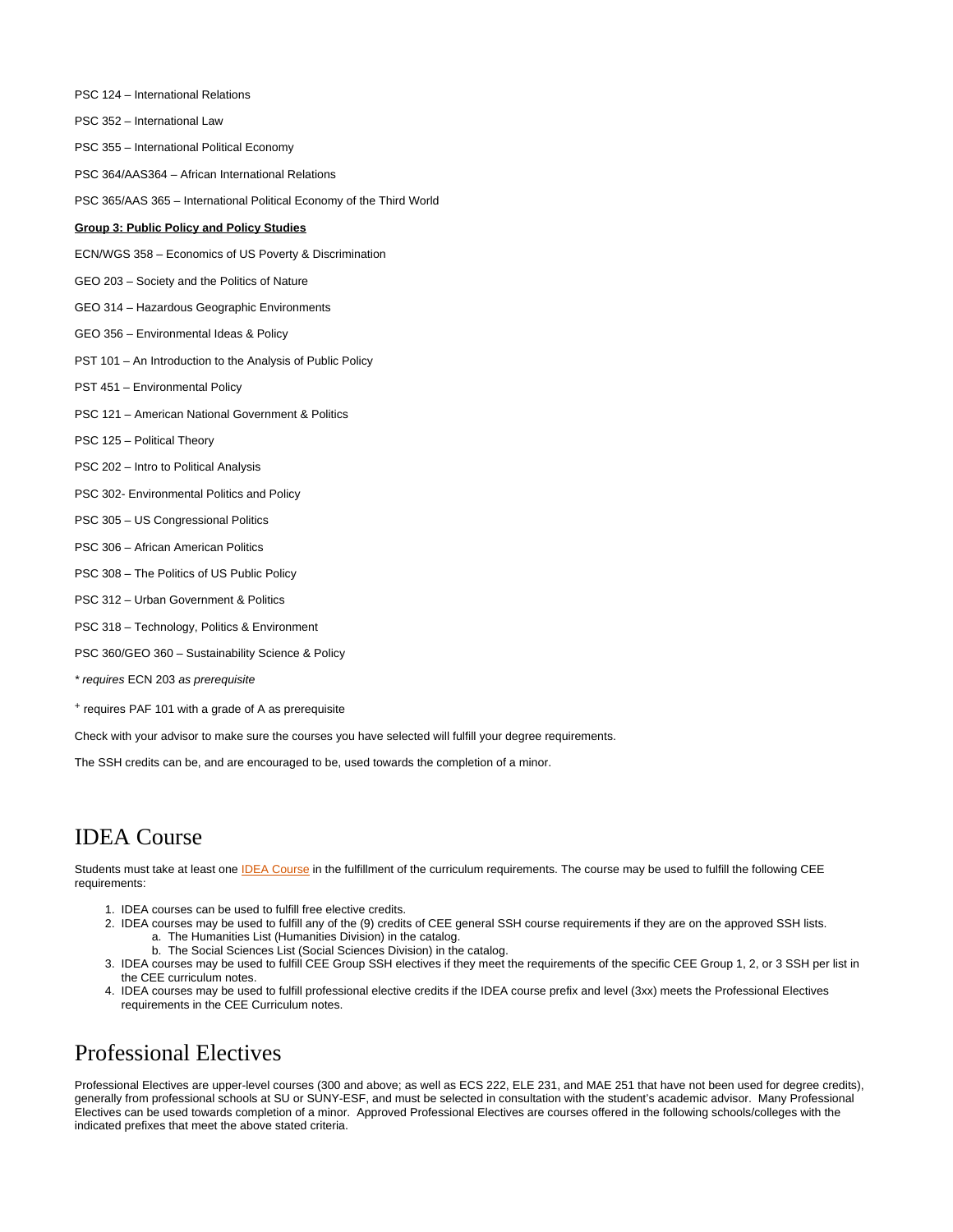- PSC 124 International Relations PSC 352 – International Law PSC 355 – International Political Economy PSC 364/AAS364 – African International Relations PSC 365/AAS 365 – International Political Economy of the Third World **Group 3: Public Policy and Policy Studies** ECN/WGS 358 – Economics of US Poverty & Discrimination GEO 203 – Society and the Politics of Nature GEO 314 – Hazardous Geographic Environments GEO 356 – Environmental Ideas & Policy PST 101 – An Introduction to the Analysis of Public Policy PST 451 – Environmental Policy PSC 121 – American National Government & Politics PSC 125 – Political Theory PSC 202 – Intro to Political Analysis PSC 302- Environmental Politics and Policy PSC 305 – US Congressional Politics PSC 306 – African American Politics PSC 308 – The Politics of US Public Policy PSC 312 – Urban Government & Politics PSC 318 – Technology, Politics & Environment PSC 360/GEO 360 – Sustainability Science & Policy
- \* requires ECN 203 as prerequisite
- + requires PAF 101 with a grade of A as prerequisite

Check with your advisor to make sure the courses you have selected will fulfill your degree requirements.

The SSH credits can be, and are encouraged to be, used towards the completion of a minor.

# IDEA Course

Students must take at least one [IDEA Course](http://coursecatalog.syr.edu/preview_program.php?catoid=30&poid=15767&hl=%22idea%22&returnto=search) in the fulfillment of the curriculum requirements. The course may be used to fulfill the following CEE requirements:

- 1. IDEA courses can be used to fulfill free elective credits.
- 2. IDEA courses may be used to fulfill any of the (9) credits of CEE general SSH course requirements if they are on the approved SSH lists. a. The Humanities List (Humanities Division) in the catalog.
	- b. The Social Sciences List (Social Sciences Division) in the catalog.
- 3. IDEA courses may be used to fulfill CEE Group SSH electives if they meet the requirements of the specific CEE Group 1, 2, or 3 SSH per list in the CEE curriculum notes.
- 4. IDEA courses may be used to fulfill professional elective credits if the IDEA course prefix and level (3xx) meets the Professional Electives requirements in the CEE Curriculum notes.

### Professional Electives

Professional Electives are upper-level courses (300 and above; as well as ECS 222, ELE 231, and MAE 251 that have not been used for degree credits), generally from professional schools at SU or SUNY-ESF, and must be selected in consultation with the student's academic advisor. Many Professional Electives can be used towards completion of a minor. Approved Professional Electives are courses offered in the following schools/colleges with the indicated prefixes that meet the above stated criteria.